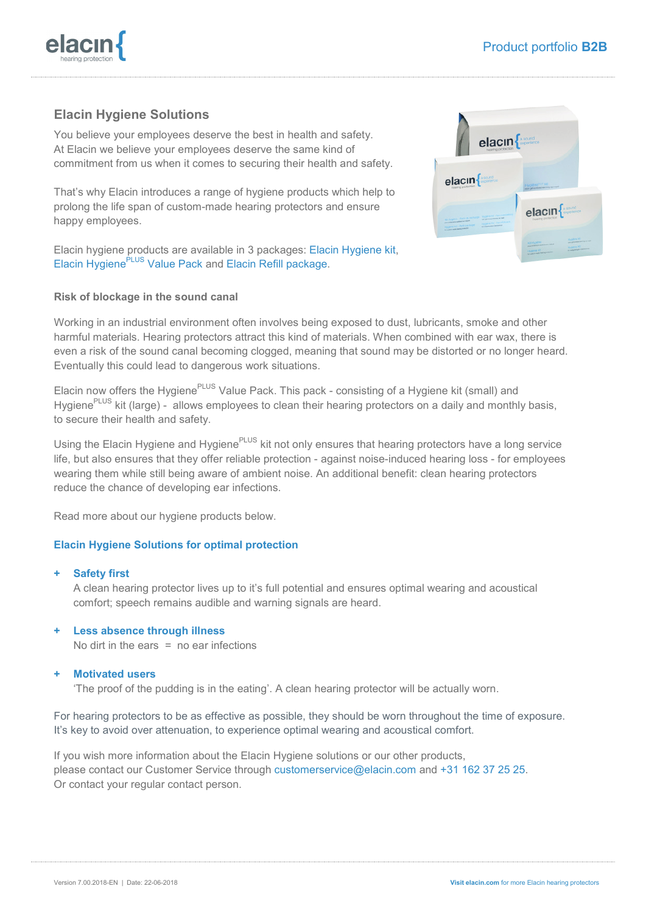

# **Elacin Hygiene Solutions**

You believe your employees deserve the best in health and safety. At Elacin we believe your employees deserve the same kind of commitment from us when it comes to securing their health and safety.

That's why Elacin introduces a range of hygiene products which help to prolong the life span of custom-made hearing protectors and ensure happy employees.

Elacin hygiene products are available in 3 packages: Elacin Hygiene kit, Elacin Hygiene<sup>PLUS</sup> Value Pack and Elacin Refill package.

### **Risk of blockage in the sound canal**

Working in an industrial environment often involves being exposed to dust, lubricants, smoke and other harmful materials. Hearing protectors attract this kind of materials. When combined with ear wax, there is even a risk of the sound canal becoming clogged, meaning that sound may be distorted or no longer heard. Eventually this could lead to dangerous work situations.

Elacin now offers the Hygiene<sup>PLUS</sup> Value Pack. This pack - consisting of a Hygiene kit (small) and Hygiene<sup>PLUS</sup> kit (large) - allows employees to clean their hearing protectors on a daily and monthly basis, to secure their health and safety.

Using the Elacin Hygiene and Hygiene<sup>PLUS</sup> kit not only ensures that hearing protectors have a long service life, but also ensures that they offer reliable protection - against noise-induced hearing loss - for employees wearing them while still being aware of ambient noise. An additional benefit: clean hearing protectors reduce the chance of developing ear infections.

Read more about our hygiene products below.

#### **Elacin Hygiene Solutions for optimal protection**

#### **+ Safety first**

A clean hearing protector lives up to it's full potential and ensures optimal wearing and acoustical comfort; speech remains audible and warning signals are heard.

#### **+ Less absence through illness**

No dirt in the ears  $=$  no ear infections

#### **+ Motivated users**

'The proof of the pudding is in the eating'. A clean hearing protector will be actually worn.

For hearing protectors to be as effective as possible, they should be worn throughout the time of exposure. It's key to avoid over attenuation, to experience optimal wearing and acoustical comfort.

If you wish more information about the Elacin Hygiene solutions or our other products, please contact our Customer Service through customerservice@elacin.com and +31 162 37 25 25. Or contact your regular contact person.

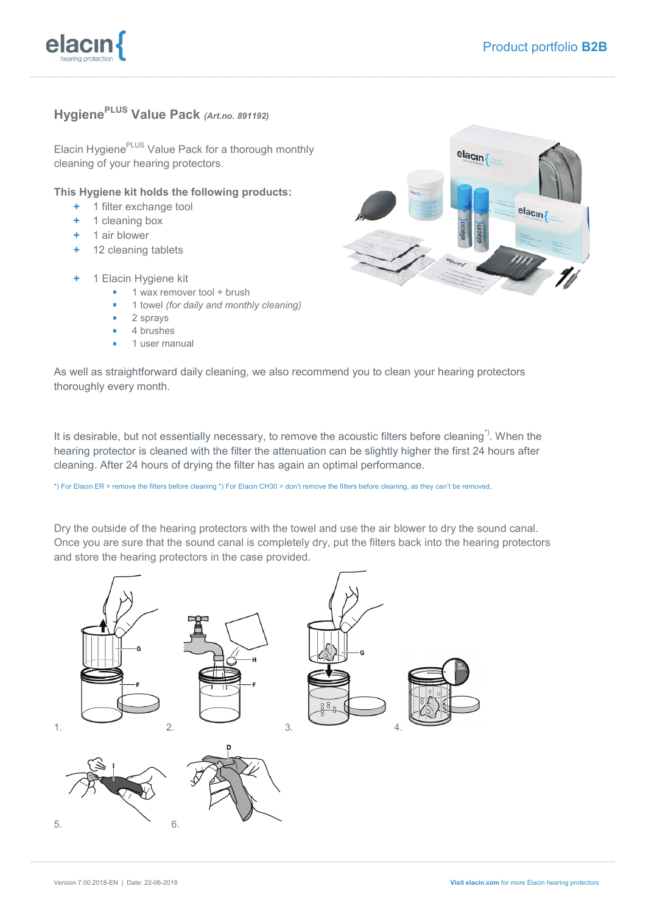

## **HygienePLUS Value Pack** *(Art.no. 891192)*

Elacin Hygiene<sup>PLUS</sup> Value Pack for a thorough monthly cleaning of your hearing protectors.

#### **This Hygiene kit holds the following products:**

- **+** 1 filter exchange tool
- **+** 1 cleaning box
- **+** 1 air blower
- **+** 12 cleaning tablets
- **+** 1 Elacin Hygiene kit
	- 1 wax remover tool + brush
	- 1 towel *(for daily and monthly cleaning)*
	- 2 sprays
	- 4 brushes
	- 1 user manual



As well as straightforward daily cleaning, we also recommend you to clean your hearing protectors thoroughly every month.

It is desirable, but not essentially necessary, to remove the acoustic filters before cleaning<sup>\*)</sup>. When the hearing protector is cleaned with the filter the attenuation can be slightly higher the first 24 hours after cleaning. After 24 hours of drying the filter has again an optimal performance.

\*) For Elacin ER > remove the filters before cleaning \*) For Elacin CH30 > don't remove the filters before cleaning, as they can't be removed,

Dry the outside of the hearing protectors with the towel and use the air blower to dry the sound canal. Once you are sure that the sound canal is completely dry, put the filters back into the hearing protectors and store the hearing protectors in the case provided.

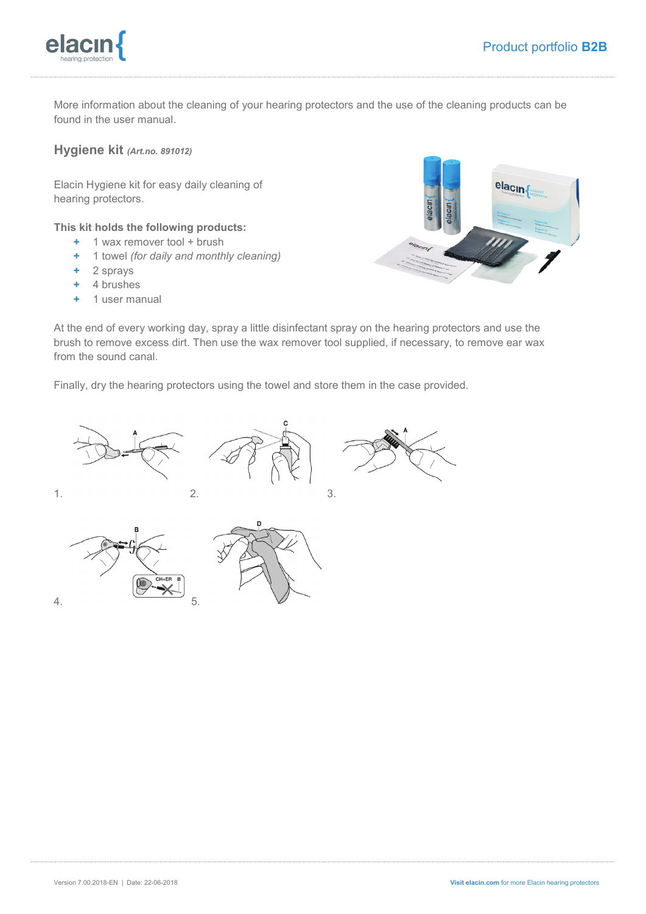

More information about the cleaning of your hearing protectors and the use of the cleaning products can be found in the user manual.

**Hygiene kit** *(Art.no. 891012)*

Elacin Hygiene kit for easy daily cleaning of hearing protectors.

**This kit holds the following products:** 

- **+** 1 wax remover tool + brush
- **+** 1 towel *(for daily and monthly cleaning)*
- **+** 2 sprays
- **+** 4 brushes
- **+** 1 user manual

elacin

At the end of every working day, spray a little disinfectant spray on the hearing protectors and use the brush to remove excess dirt. Then use the wax remover tool supplied, if necessary, to remove ear wax from the sound canal.

c

Finally, dry the hearing protectors using the towel and store them in the case provided.